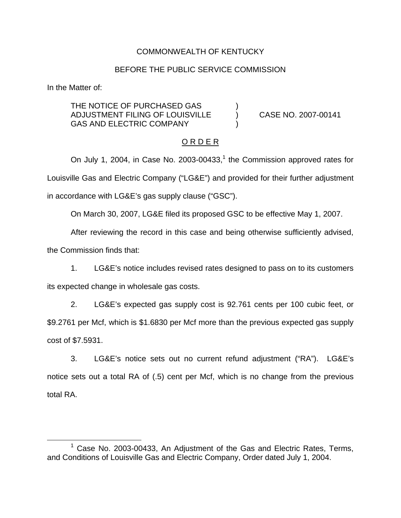## COMMONWEALTH OF KENTUCKY

#### BEFORE THE PUBLIC SERVICE COMMISSION

In the Matter of:

THE NOTICE OF PURCHASED GAS ADJUSTMENT FILING OF LOUISVILLE ) CASE NO. 2007-00141 GAS AND ELECTRIC COMPANY

## O R D E R

On July 1, 2004, in Case No. 2003-00433, $<sup>1</sup>$  the Commission approved rates for</sup> Louisville Gas and Electric Company ("LG&E") and provided for their further adjustment in accordance with LG&E's gas supply clause ("GSC").

On March 30, 2007, LG&E filed its proposed GSC to be effective May 1, 2007.

After reviewing the record in this case and being otherwise sufficiently advised, the Commission finds that:

1. LG&E's notice includes revised rates designed to pass on to its customers its expected change in wholesale gas costs.

2. LG&E's expected gas supply cost is 92.761 cents per 100 cubic feet, or \$9.2761 per Mcf, which is \$1.6830 per Mcf more than the previous expected gas supply cost of \$7.5931.

3. LG&E's notice sets out no current refund adjustment ("RA"). LG&E's notice sets out a total RA of (.5) cent per Mcf, which is no change from the previous total RA.

 $1$  Case No. 2003-00433, An Adjustment of the Gas and Electric Rates, Terms, and Conditions of Louisville Gas and Electric Company, Order dated July 1, 2004.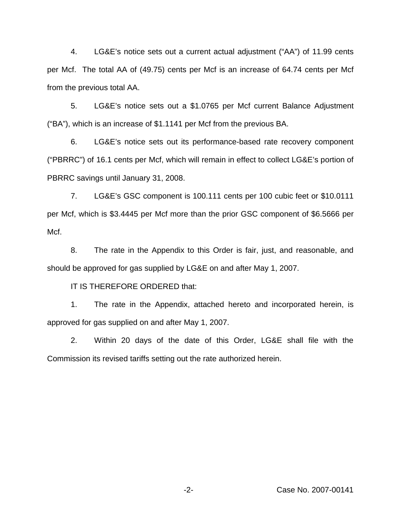4. LG&E's notice sets out a current actual adjustment ("AA") of 11.99 cents per Mcf. The total AA of (49.75) cents per Mcf is an increase of 64.74 cents per Mcf from the previous total AA.

5. LG&E's notice sets out a \$1.0765 per Mcf current Balance Adjustment ("BA"), which is an increase of \$1.1141 per Mcf from the previous BA.

6. LG&E's notice sets out its performance-based rate recovery component ("PBRRC") of 16.1 cents per Mcf, which will remain in effect to collect LG&E's portion of PBRRC savings until January 31, 2008.

7. LG&E's GSC component is 100.111 cents per 100 cubic feet or \$10.0111 per Mcf, which is \$3.4445 per Mcf more than the prior GSC component of \$6.5666 per Mcf.

8. The rate in the Appendix to this Order is fair, just, and reasonable, and should be approved for gas supplied by LG&E on and after May 1, 2007.

IT IS THEREFORE ORDERED that:

1. The rate in the Appendix, attached hereto and incorporated herein, is approved for gas supplied on and after May 1, 2007.

2. Within 20 days of the date of this Order, LG&E shall file with the Commission its revised tariffs setting out the rate authorized herein.

-2- Case No. 2007-00141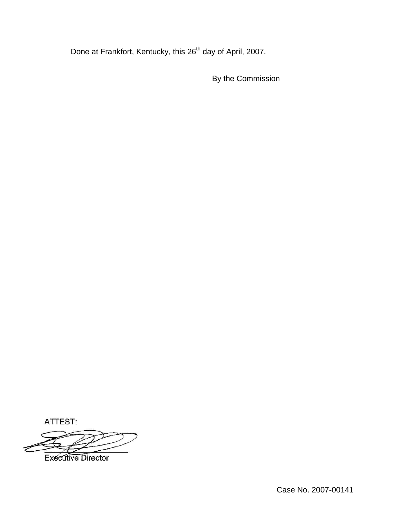Done at Frankfort, Kentucky, this 26<sup>th</sup> day of April, 2007.

By the Commission

ATTEST:



Case No. 2007-00141